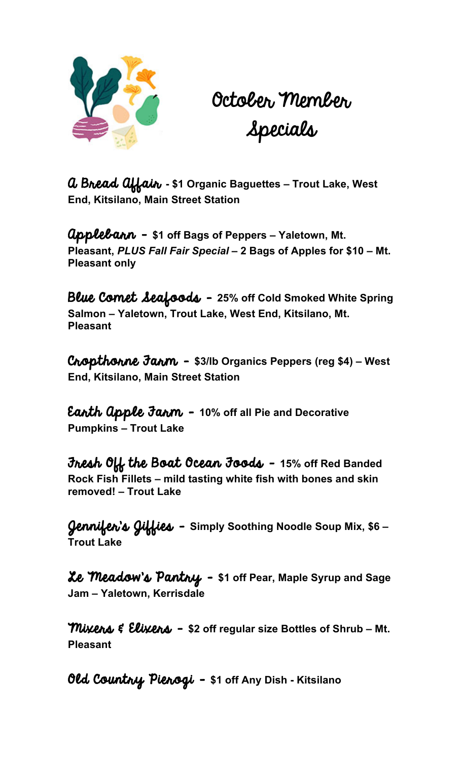

October Member Specials

A Bread Affair **- \$1 Organic Baguettes – Trout Lake, West End, Kitsilano, Main Street Station**

Applebarn – **\$1 off Bags of Peppers – Yaletown, Mt. Pleasant,** *PLUS Fall Fair Special –* **2 Bags of Apples for \$10 – Mt. Pleasant only**

Blue Comet Seafoods – **25% off Cold Smoked White Spring Salmon – Yaletown, Trout Lake, West End, Kitsilano, Mt. Pleasant**

Cropthorne Farm – **\$3/lb Organics Peppers (reg \$4) – West End, Kitsilano, Main Street Station**

Earth Apple Farm – **10% off all Pie and Decorative Pumpkins – Trout Lake**

Fresh Off the Boat Ocean Foods - **15% off Red Banded Rock Fish Fillets – mild tasting white fish with bones and skin removed! – Trout Lake**

Jennifer's Jiffies – **Simply Soothing Noodle Soup Mix, \$6 – Trout Lake**

Le Meadow's Pantry - **\$1 off Pear, Maple Syrup and Sage Jam – Yaletown, Kerrisdale**

**Mixens & Elixens - \$2 off regular size Bottles of Shrub – Mt. Pleasant**

Old Country Pierogi - **\$1 off Any Dish - Kitsilano**